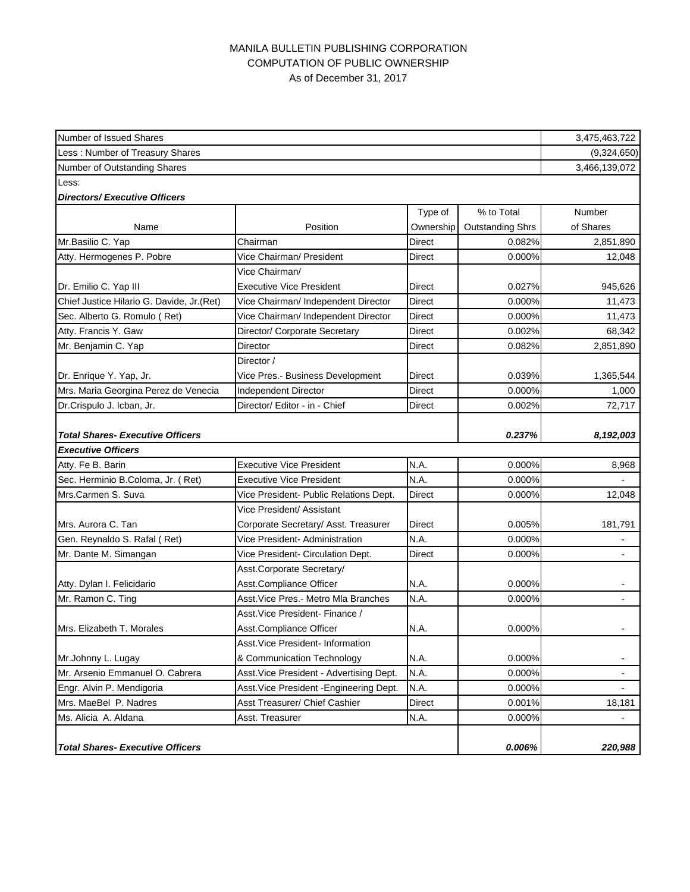## MANILA BULLETIN PUBLISHING CORPORATION COMPUTATION OF PUBLIC OWNERSHIP As of December 31, 2017

| Number of Issued Shares                    |                                          |               |                         | 3,475,463,722                |
|--------------------------------------------|------------------------------------------|---------------|-------------------------|------------------------------|
| Less: Number of Treasury Shares            |                                          |               |                         | (9,324,650)<br>3,466,139,072 |
| Number of Outstanding Shares               |                                          |               |                         |                              |
| Less:                                      |                                          |               |                         |                              |
| <b>Directors/Executive Officers</b>        |                                          |               |                         |                              |
|                                            |                                          | Type of       | % to Total              | Number                       |
| Name                                       | Position                                 | Ownership     | <b>Outstanding Shrs</b> | of Shares                    |
| Mr.Basilio C. Yap                          | Chairman                                 | Direct        | 0.082%                  | 2,851,890                    |
| Atty. Hermogenes P. Pobre                  | Vice Chairman/ President                 | Direct        | 0.000%                  | 12,048                       |
|                                            | Vice Chairman/                           |               |                         |                              |
| Dr. Emilio C. Yap III                      | <b>Executive Vice President</b>          | Direct        | 0.027%                  | 945,626                      |
| Chief Justice Hilario G. Davide, Jr. (Ret) | Vice Chairman/ Independent Director      | <b>Direct</b> | 0.000%                  | 11,473                       |
| Sec. Alberto G. Romulo (Ret)               | Vice Chairman/ Independent Director      | Direct        | 0.000%                  | 11,473                       |
| Atty. Francis Y. Gaw                       | Director/ Corporate Secretary            | <b>Direct</b> | 0.002%                  | 68,342                       |
| Mr. Benjamin C. Yap                        | Director                                 | <b>Direct</b> | 0.082%                  | 2,851,890                    |
|                                            | Director /                               |               |                         |                              |
| Dr. Enrique Y. Yap, Jr.                    | Vice Pres.- Business Development         | Direct        | 0.039%                  | 1,365,544                    |
| Mrs. Maria Georgina Perez de Venecia       | <b>Independent Director</b>              | <b>Direct</b> | 0.000%                  | 1,000                        |
| Dr.Crispulo J. Icban, Jr.                  | Director/ Editor - in - Chief            | <b>Direct</b> | 0.002%                  | 72,717                       |
|                                            |                                          |               |                         |                              |
| <b>Total Shares- Executive Officers</b>    |                                          |               | 0.237%                  | 8,192,003                    |
| <b>Executive Officers</b>                  |                                          |               |                         |                              |
| Atty. Fe B. Barin                          | <b>Executive Vice President</b>          | N.A.          | 0.000%                  | 8,968                        |
| Sec. Herminio B.Coloma, Jr. (Ret)          | <b>Executive Vice President</b>          | N.A.          | 0.000%                  |                              |
| Mrs.Carmen S. Suva                         | Vice President- Public Relations Dept.   | <b>Direct</b> | 0.000%                  | 12,048                       |
|                                            | Vice President/ Assistant                |               |                         |                              |
| Mrs. Aurora C. Tan                         | Corporate Secretary/ Asst. Treasurer     | Direct        | 0.005%                  | 181,791                      |
| Gen. Reynaldo S. Rafal (Ret)               | Vice President- Administration           | N.A.          | 0.000%                  |                              |
| Mr. Dante M. Simangan                      | Vice President- Circulation Dept.        | <b>Direct</b> | 0.000%                  |                              |
|                                            | Asst.Corporate Secretary/                |               |                         |                              |
| Atty. Dylan I. Felicidario                 | Asst.Compliance Officer                  | N.A.          | 0.000%                  |                              |
| Mr. Ramon C. Ting                          | Asst. Vice Pres.- Metro Mla Branches     | N.A.          | 0.000%                  |                              |
|                                            | Asst. Vice President- Finance /          |               |                         |                              |
| Mrs. Elizabeth T. Morales                  | Asst.Compliance Officer                  | N.A.          | 0.000%                  |                              |
|                                            | Asst. Vice President- Information        |               |                         |                              |
| Mr.Johnny L. Lugay                         | & Communication Technology               | N.A.          | 0.000%                  | -                            |
| Mr. Arsenio Emmanuel O. Cabrera            | Asst. Vice President - Advertising Dept. | N.A.          | 0.000%                  | -                            |
| Engr. Alvin P. Mendigoria                  | Asst. Vice President - Engineering Dept. | N.A.          | 0.000%                  |                              |
| Mrs. MaeBel P. Nadres                      | Asst Treasurer/ Chief Cashier            | Direct        | 0.001%                  | 18,181                       |
| Ms. Alicia A. Aldana                       | Asst. Treasurer                          | N.A.          | 0.000%                  | $\overline{a}$               |
|                                            |                                          |               |                         |                              |
| <b>Total Shares- Executive Officers</b>    |                                          |               | 0.006%                  | 220,988                      |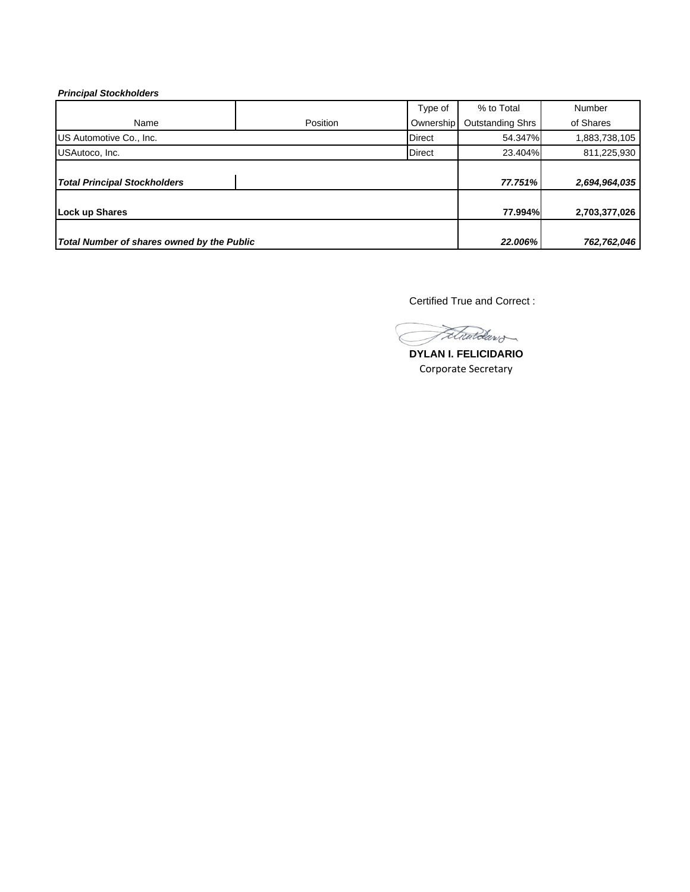## *Principal Stockholders*

|                                            |          | Type of       | % to Total       | Number        |
|--------------------------------------------|----------|---------------|------------------|---------------|
| Name                                       | Position | Ownership     | Outstanding Shrs | of Shares     |
| US Automotive Co., Inc.                    |          | <b>Direct</b> | 54.347%          | 1,883,738,105 |
| USAutoco, Inc.                             |          | <b>Direct</b> | 23.404%          | 811,225,930   |
| <b>Total Principal Stockholders</b>        |          |               | 77.751%          | 2,694,964,035 |
|                                            |          |               |                  |               |
| <b>Lock up Shares</b>                      |          |               | 77.994%          | 2,703,377,026 |
|                                            |          |               |                  |               |
| Total Number of shares owned by the Public |          |               | 22.006%          | 762,762,046   |

Certified True and Correct :

Fetwardaw

**DYLAN I. FELICIDARIO** Corporate Secretary